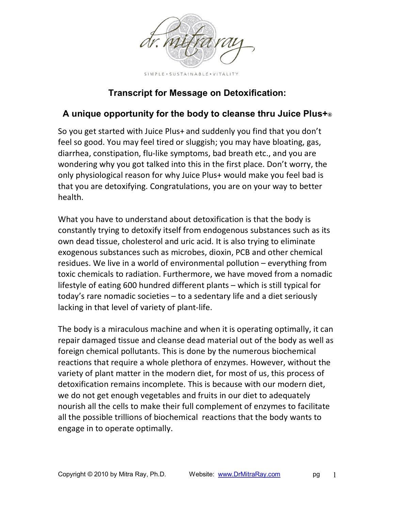

## **Transcript for Message on Detoxification:**

## **A unique opportunity for the body to cleanse thru Juice Plus+®**

So you get started with Juice Plus+ and suddenly you find that you don't feel so good. You may feel tired or sluggish; you may have bloating, gas, diarrhea, constipation, flu‐like symptoms, bad breath etc., and you are wondering why you got talked into this in the first place. Don't worry, the only physiological reason for why Juice Plus+ would make you feel bad is that you are detoxifying. Congratulations, you are on your way to better health.

What you have to understand about detoxification is that the body is constantly trying to detoxify itself from endogenous substances such as its own dead tissue, cholesterol and uric acid. It is also trying to eliminate exogenous substances such as microbes, dioxin, PCB and other chemical residues. We live in a world of environmental pollution – everything from toxic chemicals to radiation. Furthermore, we have moved from a nomadic lifestyle of eating 600 hundred different plants – which is still typical for today's rare nomadic societies – to a sedentary life and a diet seriously lacking in that level of variety of plant‐life.

The body is a miraculous machine and when it is operating optimally, it can repair damaged tissue and cleanse dead material out of the body as well as foreign chemical pollutants. This is done by the numerous biochemical reactions that require a whole plethora of enzymes. However, without the variety of plant matter in the modern diet, for most of us, this process of detoxification remains incomplete. This is because with our modern diet, we do not get enough vegetables and fruits in our diet to adequately nourish all the cells to make their full complement of enzymes to facilitate all the possible trillions of biochemical reactions that the body wants to engage in to operate optimally.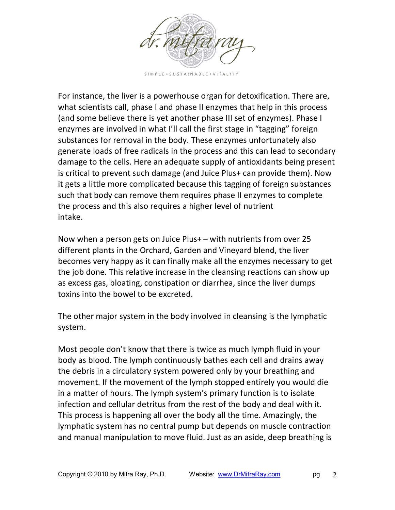

SIMPLE . SUSTAINABLE . VITALITY

For instance, the liver is a powerhouse organ for detoxification. There are, what scientists call, phase I and phase II enzymes that help in this process (and some believe there is yet another phase III set of enzymes). Phase I enzymes are involved in what I'll call the first stage in "tagging" foreign substances for removal in the body. These enzymes unfortunately also generate loads of free radicals in the process and this can lead to secondary damage to the cells. Here an adequate supply of antioxidants being present is critical to prevent such damage (and Juice Plus+ can provide them). Now it gets a little more complicated because this tagging of foreign substances such that body can remove them requires phase II enzymes to complete the process and this also requires a higher level of nutrient intake.

Now when a person gets on Juice Plus+ – with nutrients from over 25 different plants in the Orchard, Garden and Vineyard blend, the liver becomes very happy as it can finally make all the enzymes necessary to get the job done. This relative increase in the cleansing reactions can show up as excess gas, bloating, constipation or diarrhea, since the liver dumps toxins into the bowel to be excreted.

The other major system in the body involved in cleansing is the lymphatic system.

Most people don't know that there is twice as much lymph fluid in your body as blood. The lymph continuously bathes each cell and drains away the debris in a circulatory system powered only by your breathing and movement. If the movement of the lymph stopped entirely you would die in a matter of hours. The lymph system's primary function is to isolate infection and cellular detritus from the rest of the body and deal with it. This process is happening all over the body all the time. Amazingly, the lymphatic system has no central pump but depends on muscle contraction and manual manipulation to move fluid. Just as an aside, deep breathing is